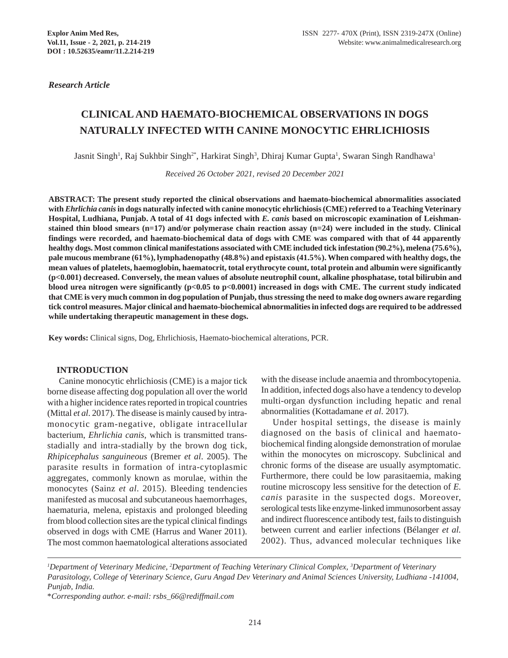*Research Article*

# **CLINICAL AND HAEMATO-BIOCHEMICAL OBSERVATIONS IN DOGS NATURALLY INFECTED WITH CANINE MONOCYTIC EHRLICHIOSIS**

Jasnit Singh<sup>1</sup>, Raj Sukhbir Singh<sup>2\*</sup>, Harkirat Singh<sup>3</sup>, Dhiraj Kumar Gupta<sup>1</sup>, Swaran Singh Randhawa<sup>1</sup>

*Received 26 October 2021, revised 20 December 2021*

**ABSTRACT: The present study reported the clinical observations and haemato-biochemical abnormalities associated with** *Ehrlichia canis* **in dogs naturally infected with canine monocytic ehrlichiosis (CME) referred to a Teaching Veterinary Hospital, Ludhiana, Punjab. A total of 41 dogs infected with** *E. canis* **based on microscopic examination of Leishmanstained thin blood smears (n=17) and/or polymerase chain reaction assay (n=24) were included in the study. Clinical findings were recorded, and haemato-biochemical data of dogs with CME was compared with that of 44 apparently healthy dogs. Most common clinical manifestations associated with CME included tick infestation (90.2%), melena (75.6%), pale mucous membrane (61%), lymphadenopathy (48.8%) and epistaxis (41.5%). When compared with healthy dogs, the mean values of platelets, haemoglobin, haematocrit, total erythrocyte count, total protein and albumin were significantly (p<0.001) decreased. Conversely, the mean values of absolute neutrophil count, alkaline phosphatase, total bilirubin and blood urea nitrogen were significantly (p<0.05 to p<0.0001) increased in dogs with CME. The current study indicated that CME is very much common in dog population of Punjab, thus stressing the need to make dog owners aware regarding tick control measures. Major clinical and haemato-biochemical abnormalities in infected dogs are required to be addressed while undertaking therapeutic management in these dogs.**

**Key words:** Clinical signs, Dog, Ehrlichiosis, Haemato-biochemical alterations, PCR.

# **INTRODUCTION**

Canine monocytic ehrlichiosis (CME) is a major tick borne disease affecting dog population all over the world with a higher incidence rates reported in tropical countries (Mittal *et al*. 2017). The disease is mainly caused by intramonocytic gram-negative, obligate intracellular bacterium, *Ehrlichia canis,* which is transmitted transstadially and intra-stadially by the brown dog tick, *Rhipicephalus sanguineous* (Bremer *et al*. 2005). The parasite results in formation of intra-cytoplasmic aggregates, commonly known as morulae, within the monocytes (Sainz *et al*. 2015). Bleeding tendencies manifested as mucosal and subcutaneous haemorrhages, haematuria, melena, epistaxis and prolonged bleeding from blood collection sites are the typical clinical findings observed in dogs with CME (Harrus and Waner 2011). The most common haematological alterations associated

with the disease include anaemia and thrombocytopenia. In addition, infected dogs also have a tendency to develop multi-organ dysfunction including hepatic and renal abnormalities (Kottadamane *et al*. 2017).

Under hospital settings, the disease is mainly diagnosed on the basis of clinical and haematobiochemical finding alongside demonstration of morulae within the monocytes on microscopy. Subclinical and chronic forms of the disease are usually asymptomatic. Furthermore, there could be low parasitaemia, making routine microscopy less sensitive for the detection of *E. canis* parasite in the suspected dogs. Moreover, serological tests like enzyme-linked immunosorbent assay and indirect fluorescence antibody test, fails to distinguish between current and earlier infections (Bélanger *et al.* 2002). Thus, advanced molecular techniques like

*1 Department of Veterinary Medicine, 2 Department of Teaching Veterinary Clinical Complex, 3 Department of Veterinary Parasitology, College of Veterinary Science, Guru Angad Dev Veterinary and Animal Sciences University, Ludhiana -141004, Punjab, India.*

\**Corresponding author. e-mail: rsbs\_66@rediffmail.com*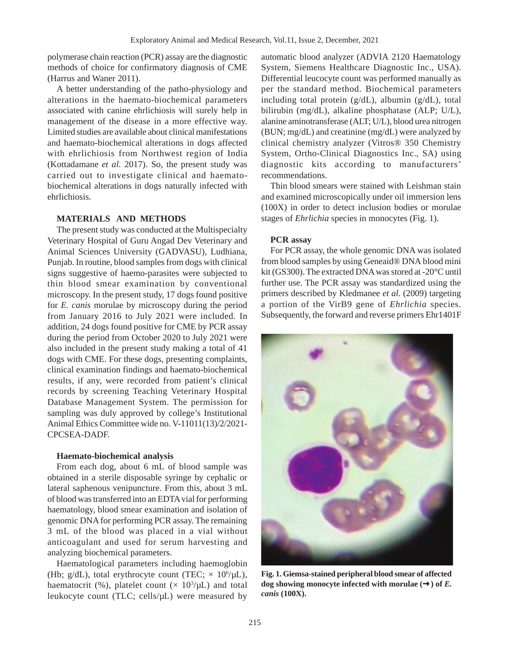polymerase chain reaction (PCR) assay are the diagnostic methods of choice for confirmatory diagnosis of CME (Harrus and Waner 2011).

A better understanding of the patho-physiology and alterations in the haemato-biochemical parameters associated with canine ehrlichiosis will surely help in management of the disease in a more effective way. Limited studies are available about clinical manifestations and haemato-biochemical alterations in dogs affected with ehrlichiosis from Northwest region of India (Kottadamane *et al.* 2017). So, the present study was carried out to investigate clinical and haematobiochemical alterations in dogs naturally infected with ehrlichiosis.

# **MATERIALS AND METHODS**

The present study was conducted at the Multispecialty Veterinary Hospital of Guru Angad Dev Veterinary and Animal Sciences University (GADVASU), Ludhiana, Punjab. In routine, blood samples from dogs with clinical signs suggestive of haemo-parasites were subjected to thin blood smear examination by conventional microscopy. In the present study, 17 dogs found positive for *E. canis* morulae by microscopy during the period from January 2016 to July 2021 were included. In addition, 24 dogs found positive for CME by PCR assay during the period from October 2020 to July 2021 were also included in the present study making a total of 41 dogs with CME. For these dogs, presenting complaints, clinical examination findings and haemato-biochemical results, if any, were recorded from patient's clinical records by screening Teaching Veterinary Hospital Database Management System. The permission for sampling was duly approved by college's Institutional Animal Ethics Committee wide no. V-11011(13)/2/2021- CPCSEA-DADF.

#### **Haemato-biochemical analysis**

From each dog, about 6 mL of blood sample was obtained in a sterile disposable syringe by cephalic or lateral saphenous venipuncture. From this, about 3 mL of blood was transferred into an EDTA vial for performing haematology, blood smear examination and isolation of genomic DNA for performing PCR assay. The remaining 3 mL of the blood was placed in a vial without anticoagulant and used for serum harvesting and analyzing biochemical parameters.

Haematological parameters including haemoglobin (Hb;  $g/dL$ ), total erythrocyte count (TEC;  $\times$  10<sup>6</sup>/µL), haematocrit (%), platelet count ( $\times$  10<sup>3</sup>/µL) and total leukocyte count (TLC; cells/µL) were measured by

automatic blood analyzer (ADVIA 2120 Haematology System, Siemens Healthcare Diagnostic Inc., USA). Differential leucocyte count was performed manually as per the standard method. Biochemical parameters including total protein (g/dL), albumin (g/dL), total bilirubin (mg/dL), alkaline phosphatase (ALP; U/L), alanine aminotransferase (ALT; U/L), blood urea nitrogen (BUN; mg/dL) and creatinine (mg/dL) were analyzed by clinical chemistry analyzer (Vitros® 350 Chemistry System, Ortho-Clinical Diagnostics Inc., SA) using diagnostic kits according to manufacturers' recommendations.

Thin blood smears were stained with Leishman stain and examined microscopically under oil immersion lens (100X) in order to detect inclusion bodies or morulae stages of *Ehrlichia* species in monocytes (Fig. 1).

# **PCR assay**

For PCR assay, the whole genomic DNA was isolated from blood samples by using Geneaid® DNA blood mini kit (GS300). The extracted DNA was stored at -20°C until further use. The PCR assay was standardized using the primers described by Kledmanee *et al*. (2009) targeting a portion of the VirB9 gene of *Ehrlichia* species. Subsequently, the forward and reverse primers Ehr1401F



**Fig. 1. Giemsa-stained peripheral blood smear of affected** dog showing monocyte infected with morulae  $(\rightarrow)$  of *E*. *canis* **(100X).**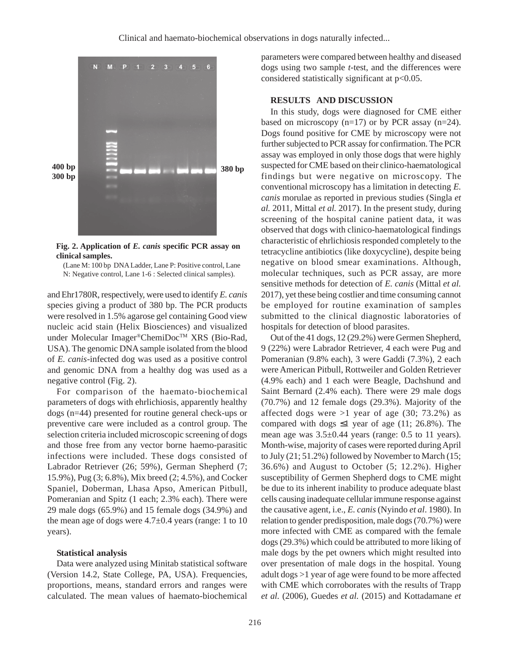

**Fig. 2. Application of** *E. canis* **specific PCR assay on clinical samples.**

(Lane M: 100 bp DNA Ladder, Lane P: Positive control, Lane N: Negative control, Lane 1-6 : Selected clinical samples).

and Ehr1780R, respectively, were used to identify *E. canis* species giving a product of 380 bp. The PCR products were resolved in 1.5% agarose gel containing Good view nucleic acid stain (Helix Biosciences) and visualized under Molecular Imager®ChemiDoc™ XRS (Bio-Rad, USA). The genomic DNA sample isolated from the blood of *E. canis*-infected dog was used as a positive control and genomic DNA from a healthy dog was used as a negative control (Fig. 2).

For comparison of the haemato-biochemical parameters of dogs with ehrlichiosis, apparently healthy dogs (n=44) presented for routine general check-ups or preventive care were included as a control group. The selection criteria included microscopic screening of dogs and those free from any vector borne haemo-parasitic infections were included. These dogs consisted of Labrador Retriever (26; 59%), German Shepherd (7; 15.9%), Pug (3; 6.8%), Mix breed (2; 4.5%), and Cocker Spaniel, Doberman, Lhasa Apso, American Pitbull, Pomeranian and Spitz (1 each; 2.3% each). There were 29 male dogs (65.9%) and 15 female dogs (34.9%) and the mean age of dogs were  $4.7\pm0.4$  years (range: 1 to 10 years).

#### **Statistical analysis**

Data were analyzed using Minitab statistical software (Version 14.2, State College, PA, USA). Frequencies, proportions, means, standard errors and ranges were calculated. The mean values of haemato-biochemical parameters were compared between healthy and diseased dogs using two sample *t*-test, and the differences were considered statistically significant at p<0.05.

### **RESULTS AND DISCUSSION**

In this study, dogs were diagnosed for CME either based on microscopy  $(n=17)$  or by PCR assay  $(n=24)$ . Dogs found positive for CME by microscopy were not further subjected to PCR assay for confirmation. The PCR assay was employed in only those dogs that were highly suspected for CME based on their clinico-haematological findings but were negative on microscopy. The conventional microscopy has a limitation in detecting *E. canis* morulae as reported in previous studies (Singla *et al.* 2011, Mittal *et al.* 2017). In the present study, during screening of the hospital canine patient data, it was observed that dogs with clinico-haematological findings characteristic of ehrlichiosis responded completely to the tetracycline antibiotics (like doxycycline), despite being negative on blood smear examinations. Although, molecular techniques, such as PCR assay, are more sensitive methods for detection of *E. canis* (Mittal *et al.* 2017), yet these being costlier and time consuming cannot be employed for routine examination of samples submitted to the clinical diagnostic laboratories of hospitals for detection of blood parasites.

Out of the 41 dogs, 12 (29.2%) were Germen Shepherd, 9 (22%) were Labrador Retriever, 4 each were Pug and Pomeranian (9.8% each), 3 were Gaddi (7.3%), 2 each were American Pitbull, Rottweiler and Golden Retriever (4.9% each) and 1 each were Beagle, Dachshund and Saint Bernard (2.4% each). There were 29 male dogs (70.7%) and 12 female dogs (29.3%). Majority of the affected dogs were  $>1$  year of age (30; 73.2%) as compared with dogs  $\leq 1$  year of age (11; 26.8%). The mean age was 3.5±0.44 years (range: 0.5 to 11 years). Month-wise, majority of cases were reported during April to July (21; 51.2%) followed by November to March (15; 36.6%) and August to October (5; 12.2%). Higher susceptibility of Germen Shepherd dogs to CME might be due to its inherent inability to produce adequate blast cells causing inadequate cellular immune response against the causative agent, i.e., *E. canis* (Nyindo *et al*. 1980). In relation to gender predisposition, male dogs (70.7%) were more infected with CME as compared with the female dogs (29.3%) which could be attributed to more liking of male dogs by the pet owners which might resulted into over presentation of male dogs in the hospital. Young adult dogs >1 year of age were found to be more affected with CME which corroborates with the results of Trapp *et al.* (2006), Guedes *et al.* (2015) and Kottadamane *et*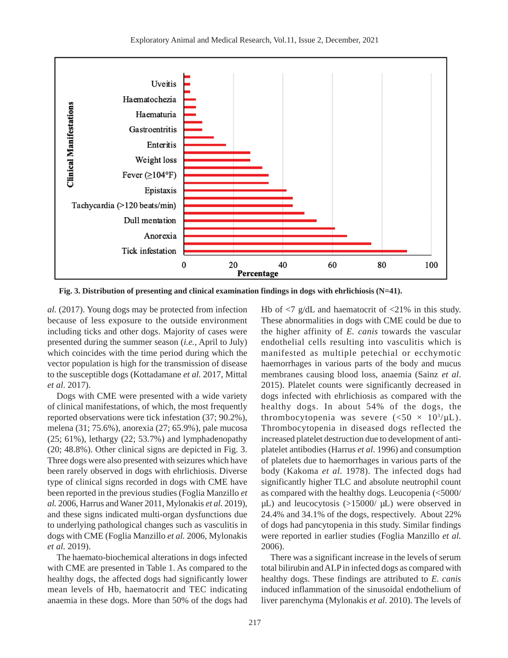

**Fig. 3. Distribution of presenting and clinical examination findings in dogs with ehrlichiosis (N=41).**

*al.* (2017). Young dogs may be protected from infection because of less exposure to the outside environment including ticks and other dogs. Majority of cases were presented during the summer season (*i.e.,* April to July) which coincides with the time period during which the vector population is high for the transmission of disease to the susceptible dogs (Kottadamane *et al.* 2017, Mittal *et al*. 2017).

Dogs with CME were presented with a wide variety of clinical manifestations, of which, the most frequently reported observations were tick infestation (37; 90.2%), melena (31; 75.6%), anorexia (27; 65.9%), pale mucosa (25; 61%), lethargy (22; 53.7%) and lymphadenopathy (20; 48.8%). Other clinical signs are depicted in Fig. 3. Three dogs were also presented with seizures which have been rarely observed in dogs with ehrlichiosis. Diverse type of clinical signs recorded in dogs with CME have been reported in the previous studies (Foglia Manzillo *et al.* 2006, Harrus and Waner 2011, Mylonakis *et al.* 2019), and these signs indicated multi-organ dysfunctions due to underlying pathological changes such as vasculitis in dogs with CME (Foglia Manzillo *et al.* 2006, Mylonakis *et al.* 2019).

The haemato-biochemical alterations in dogs infected with CME are presented in Table 1. As compared to the healthy dogs, the affected dogs had significantly lower mean levels of Hb, haematocrit and TEC indicating anaemia in these dogs. More than 50% of the dogs had

Hb of  $\langle 7 \text{ g/d}$ L and haematocrit of  $\langle 21 \text{ %} \rangle$  in this study. These abnormalities in dogs with CME could be due to the higher affinity of *E. canis* towards the vascular endothelial cells resulting into vasculitis which is manifested as multiple petechial or ecchymotic haemorrhages in various parts of the body and mucus membranes causing blood loss, anaemia (Sainz *et al*. 2015). Platelet counts were significantly decreased in dogs infected with ehrlichiosis as compared with the healthy dogs. In about 54% of the dogs, the thrombocytopenia was severe  $\left(\langle 50 \times 10^{3} \rangle \mu\right)$ . Thrombocytopenia in diseased dogs reflected the increased platelet destruction due to development of antiplatelet antibodies (Harrus *et al*. 1996) and consumption of platelets due to haemorrhages in various parts of the body (Kakoma *et al*. 1978). The infected dogs had significantly higher TLC and absolute neutrophil count as compared with the healthy dogs. Leucopenia (<5000/  $\mu$ L) and leucocytosis (>15000/ $\mu$ L) were observed in 24.4% and 34.1% of the dogs, respectively. About 22% of dogs had pancytopenia in this study. Similar findings were reported in earlier studies (Foglia Manzillo *et al.* 2006).

There was a significant increase in the levels of serum total bilirubin and ALP in infected dogs as compared with healthy dogs. These findings are attributed to *E. canis* induced inflammation of the sinusoidal endothelium of liver parenchyma (Mylonakis *et al*. 2010). The levels of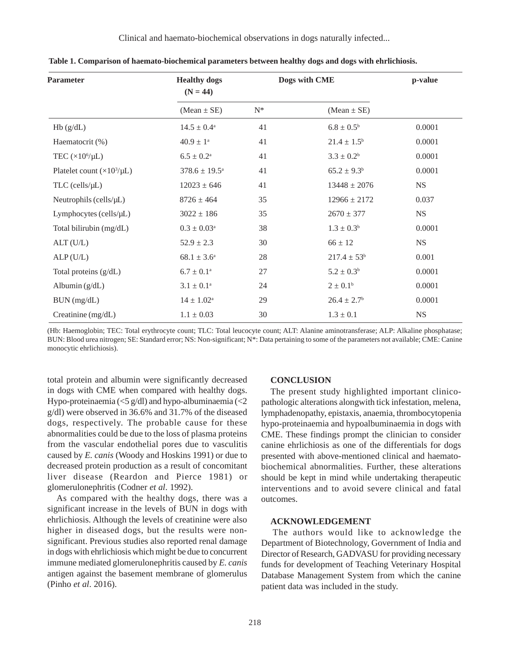Clinical and haemato-biochemical observations in dogs naturally infected...

| Parameter                            | <b>Healthy dogs</b><br>$(N = 44)$<br>$(Mean \pm SE)$ | Dogs with CME |                             | p-value     |
|--------------------------------------|------------------------------------------------------|---------------|-----------------------------|-------------|
|                                      |                                                      | $N^*$         | $(Mean \pm SE)$             |             |
| Hb(g/dL)                             | $14.5 \pm 0.4^{\circ}$                               | 41            | $6.8 \pm 0.5^{\rm b}$       | 0.0001      |
| Haematocrit (%)                      | $40.9 \pm 1^{\circ}$                                 | 41            | $21.4 \pm 1.5^b$            | 0.0001      |
| TEC $(\times 10^6/\mu L)$            | $6.5 \pm 0.2^{\rm a}$                                | 41            | $3.3 \pm 0.2^b$             | 0.0001      |
| Platelet count $(\times 10^3/\mu L)$ | $378.6 \pm 19.5^{\text{a}}$                          | 41            | $65.2 \pm 9.3^b$            | 0.0001      |
| $TLC$ (cells/ $\mu L$ )              | $12023 \pm 646$                                      | 41            | $13448 \pm 2076$            | <b>NS</b>   |
| Neutrophils (cells/ $\mu L$ )        | $8726 \pm 464$                                       | 35            | $12966 \pm 2172$            | 0.037       |
| Lymphocytes (cells/µL)               | $3022 \pm 186$                                       | 35            | $2670 \pm 377$              | <b>NS</b>   |
| Total bilirubin (mg/dL)              | $0.3 \pm 0.03^{\rm a}$                               | 38            | $1.3 \pm 0.3^{\rm b}$       | 0.0001      |
| ALT(U/L)                             | $52.9 \pm 2.3$                                       | 30            | $66 \pm 12$                 | NS          |
| ALP(U/L)                             | $68.1 \pm 3.6^a$                                     | 28            | $217.4 \pm 53^b$            | 0.001       |
| Total proteins (g/dL)                | $6.7\pm0.1^{\rm a}$                                  | 27            | $5.2 \pm 0.3^b$             | 0.0001      |
| Albumin $(g/dL)$                     | $3.1\pm0.1^{\rm a}$                                  | 24            | $2 \pm 0.1^b$               | 0.0001      |
| BUN (mg/dL)                          | $14 \pm 1.02^{\rm a}$                                | 29            | $26.4 \pm 2.7$ <sup>b</sup> | 0.0001      |
| Creatinine (mg/dL)                   | $1.1 \pm 0.03$                                       | 30            | $1.3 \pm 0.1$               | $_{\rm NS}$ |

**Table 1. Comparison of haemato-biochemical parameters between healthy dogs and dogs with ehrlichiosis.**

(Hb: Haemoglobin; TEC: Total erythrocyte count; TLC: Total leucocyte count; ALT: Alanine aminotransferase; ALP: Alkaline phosphatase; BUN: Blood urea nitrogen; SE: Standard error; NS: Non-significant; N\*: Data pertaining to some of the parameters not available; CME: Canine monocytic ehrlichiosis).

total protein and albumin were significantly decreased in dogs with CME when compared with healthy dogs. Hypo-proteinaemia ( $\leq$ 5 g/dl) and hypo-albuminaemia ( $\leq$ 2 g/dl) were observed in 36.6% and 31.7% of the diseased dogs, respectively. The probable cause for these abnormalities could be due to the loss of plasma proteins from the vascular endothelial pores due to vasculitis caused by *E. canis* (Woody and Hoskins 1991) or due to decreased protein production as a result of concomitant liver disease (Reardon and Pierce 1981) or glomerulonephritis (Codner *et al*. 1992).

As compared with the healthy dogs, there was a significant increase in the levels of BUN in dogs with ehrlichiosis. Although the levels of creatinine were also higher in diseased dogs, but the results were nonsignificant. Previous studies also reported renal damage in dogs with ehrlichiosis which might be due to concurrent immune mediated glomerulonephritis caused by *E. canis* antigen against the basement membrane of glomerulus (Pinho *et al*. 2016).

#### **CONCLUSION**

The present study highlighted important clinicopathologic alterations alongwith tick infestation, melena, lymphadenopathy, epistaxis, anaemia, thrombocytopenia hypo-proteinaemia and hypoalbuminaemia in dogs with CME. These findings prompt the clinician to consider canine ehrlichiosis as one of the differentials for dogs presented with above-mentioned clinical and haematobiochemical abnormalities. Further, these alterations should be kept in mind while undertaking therapeutic interventions and to avoid severe clinical and fatal outcomes.

# **ACKNOWLEDGEMENT**

The authors would like to acknowledge the Department of Biotechnology, Government of India and Director of Research, GADVASU for providing necessary funds for development of Teaching Veterinary Hospital Database Management System from which the canine patient data was included in the study.